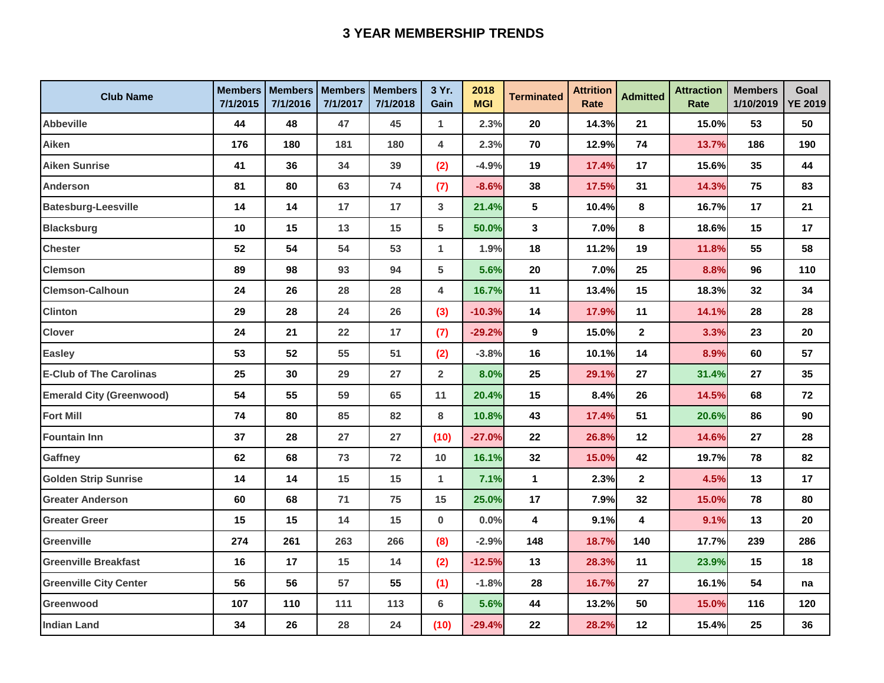## **3 YEAR MEMBERSHIP TRENDS**

| <b>Club Name</b>                | <b>Members</b><br>7/1/2015 | <b>Members</b><br>7/1/2016 | <b>Members</b><br>7/1/2017 | <b>Members</b><br>7/1/2018 | 3 Yr.<br>Gain  | 2018<br><b>MGI</b> | <b>Terminated</b>       | <b>Attrition</b><br>Rate | <b>Admitted</b>         | <b>Attraction</b><br>Rate | <b>Members</b><br>1/10/2019 | Goal<br><b>YE 2019</b> |
|---------------------------------|----------------------------|----------------------------|----------------------------|----------------------------|----------------|--------------------|-------------------------|--------------------------|-------------------------|---------------------------|-----------------------------|------------------------|
| <b>Abbeville</b>                | 44                         | 48                         | 47                         | 45                         | 1              | 2.3%               | 20                      | 14.3%                    | 21                      | 15.0%                     | 53                          | 50                     |
| Aiken                           | 176                        | 180                        | 181                        | 180                        | 4              | 2.3%               | 70                      | 12.9%                    | 74                      | 13.7%                     | 186                         | 190                    |
| <b>Aiken Sunrise</b>            | 41                         | 36                         | 34                         | 39                         | (2)            | $-4.9%$            | 19                      | 17.4%                    | 17                      | 15.6%                     | 35                          | 44                     |
| <b>Anderson</b>                 | 81                         | 80                         | 63                         | 74                         | (7)            | $-8.6%$            | 38                      | 17.5%                    | 31                      | 14.3%                     | 75                          | 83                     |
| <b>Batesburg-Leesville</b>      | 14                         | 14                         | 17                         | 17                         | 3              | 21.4%              | $5\phantom{.0}$         | 10.4%                    | 8                       | 16.7%                     | 17                          | 21                     |
| <b>Blacksburg</b>               | 10                         | 15                         | 13                         | 15                         | 5              | 50.0%              | $\overline{\mathbf{3}}$ | 7.0%                     | 8                       | 18.6%                     | 15                          | 17                     |
| <b>Chester</b>                  | 52                         | 54                         | 54                         | 53                         | $\mathbf{1}$   | 1.9%               | 18                      | 11.2%                    | 19                      | 11.8%                     | 55                          | 58                     |
| <b>Clemson</b>                  | 89                         | 98                         | 93                         | 94                         | 5              | 5.6%               | 20                      | 7.0%                     | 25                      | 8.8%                      | 96                          | 110                    |
| <b>Clemson-Calhoun</b>          | 24                         | 26                         | 28                         | 28                         | 4              | 16.7%              | 11                      | 13.4%                    | 15                      | 18.3%                     | 32                          | 34                     |
| <b>Clinton</b>                  | 29                         | 28                         | 24                         | 26                         | (3)            | $-10.3%$           | 14                      | 17.9%                    | 11                      | 14.1%                     | 28                          | 28                     |
| <b>Clover</b>                   | 24                         | 21                         | 22                         | 17                         | (7)            | $-29.2%$           | 9                       | 15.0%                    | $\overline{2}$          | 3.3%                      | 23                          | 20                     |
| <b>Easley</b>                   | 53                         | 52                         | 55                         | 51                         | (2)            | $-3.8%$            | 16                      | 10.1%                    | 14                      | 8.9%                      | 60                          | 57                     |
| <b>E-Club of The Carolinas</b>  | 25                         | 30                         | 29                         | 27                         | $\overline{2}$ | 8.0%               | 25                      | 29.1%                    | 27                      | 31.4%                     | 27                          | 35                     |
| <b>Emerald City (Greenwood)</b> | 54                         | 55                         | 59                         | 65                         | 11             | 20.4%              | 15                      | 8.4%                     | 26                      | 14.5%                     | 68                          | 72                     |
| <b>Fort Mill</b>                | 74                         | 80                         | 85                         | 82                         | 8              | 10.8%              | 43                      | 17.4%                    | 51                      | 20.6%                     | 86                          | 90                     |
| <b>Fountain Inn</b>             | 37                         | 28                         | 27                         | 27                         | (10)           | $-27.0%$           | 22                      | 26.8%                    | 12                      | 14.6%                     | 27                          | 28                     |
| Gaffney                         | 62                         | 68                         | 73                         | 72                         | 10             | 16.1%              | 32                      | 15.0%                    | 42                      | 19.7%                     | 78                          | 82                     |
| <b>Golden Strip Sunrise</b>     | 14                         | 14                         | 15                         | 15                         | $\mathbf{1}$   | 7.1%               | $\mathbf{1}$            | 2.3%                     | $\overline{\mathbf{2}}$ | 4.5%                      | 13                          | 17                     |
| <b>Greater Anderson</b>         | 60                         | 68                         | 71                         | 75                         | 15             | 25.0%              | 17                      | 7.9%                     | 32                      | 15.0%                     | 78                          | 80                     |
| <b>Greater Greer</b>            | 15                         | 15                         | 14                         | 15                         | 0              | 0.0%               | 4                       | 9.1%                     | 4                       | 9.1%                      | 13                          | 20                     |
| Greenville                      | 274                        | 261                        | 263                        | 266                        | (8)            | $-2.9%$            | 148                     | 18.7%                    | 140                     | 17.7%                     | 239                         | 286                    |
| <b>Greenville Breakfast</b>     | 16                         | 17                         | 15                         | 14                         | (2)            | $-12.5%$           | 13                      | 28.3%                    | 11                      | 23.9%                     | 15                          | 18                     |
| <b>Greenville City Center</b>   | 56                         | 56                         | 57                         | 55                         | (1)            | $-1.8%$            | 28                      | 16.7%                    | 27                      | 16.1%                     | 54                          | na                     |
| Greenwood                       | 107                        | 110                        | 111                        | 113                        | 6              | 5.6%               | 44                      | 13.2%                    | 50                      | 15.0%                     | 116                         | 120                    |
| <b>Indian Land</b>              | 34                         | 26                         | 28                         | 24                         | (10)           | $-29.4%$           | 22                      | 28.2%                    | 12                      | 15.4%                     | 25                          | 36                     |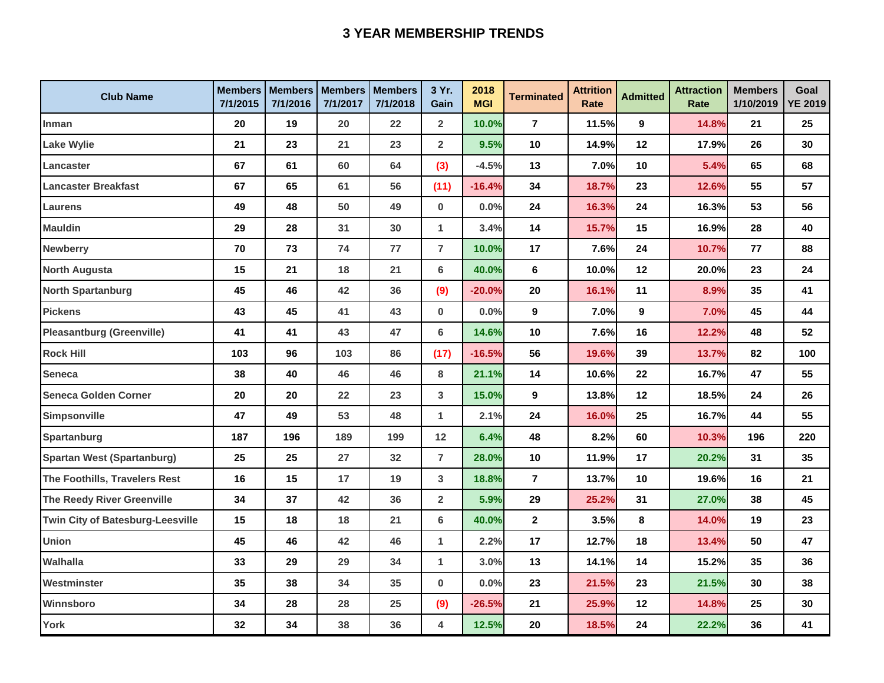## **3 YEAR MEMBERSHIP TRENDS**

| <b>Club Name</b>                        | <b>Members</b><br>7/1/2015 | <b>Members</b><br>7/1/2016 | <b>Members</b><br>7/1/2017 | <b>Members</b><br>7/1/2018 | 3 Yr.<br>Gain           | 2018<br><b>MGI</b> | <b>Terminated</b> | <b>Attrition</b><br>Rate | <b>Admitted</b> | <b>Attraction</b><br>Rate | <b>Members</b><br>1/10/2019 | Goal<br><b>YE 2019</b> |
|-----------------------------------------|----------------------------|----------------------------|----------------------------|----------------------------|-------------------------|--------------------|-------------------|--------------------------|-----------------|---------------------------|-----------------------------|------------------------|
| Inman                                   | 20                         | 19                         | 20                         | 22                         | $\overline{2}$          | 10.0%              | $\overline{7}$    | 11.5%                    | 9               | 14.8%                     | 21                          | 25                     |
| <b>Lake Wylie</b>                       | 21                         | 23                         | 21                         | 23                         | $\overline{2}$          | 9.5%               | 10                | 14.9%                    | 12              | 17.9%                     | 26                          | 30                     |
| Lancaster                               | 67                         | 61                         | 60                         | 64                         | (3)                     | $-4.5%$            | 13                | 7.0%                     | 10              | 5.4%                      | 65                          | 68                     |
| Lancaster Breakfast                     | 67                         | 65                         | 61                         | 56                         | (11)                    | $-16.4%$           | 34                | 18.7%                    | 23              | 12.6%                     | 55                          | 57                     |
| Laurens                                 | 49                         | 48                         | 50                         | 49                         | $\bf{0}$                | 0.0%               | 24                | 16.3%                    | 24              | 16.3%                     | 53                          | 56                     |
| <b>Mauldin</b>                          | 29                         | 28                         | 31                         | 30                         | $\mathbf{1}$            | 3.4%               | 14                | 15.7%                    | 15              | 16.9%                     | 28                          | 40                     |
| <b>Newberry</b>                         | 70                         | 73                         | 74                         | 77                         | $\overline{7}$          | 10.0%              | 17                | 7.6%                     | 24              | 10.7%                     | 77                          | 88                     |
| <b>North Augusta</b>                    | 15                         | 21                         | 18                         | 21                         | 6                       | 40.0%              | 6                 | 10.0%                    | 12              | 20.0%                     | 23                          | 24                     |
| <b>North Spartanburg</b>                | 45                         | 46                         | 42                         | 36                         | (9)                     | $-20.0%$           | 20                | 16.1%                    | 11              | 8.9%                      | 35                          | 41                     |
| <b>Pickens</b>                          | 43                         | 45                         | 41                         | 43                         | $\bf{0}$                | 0.0%               | 9                 | 7.0%                     | $\mathbf{9}$    | 7.0%                      | 45                          | 44                     |
| <b>Pleasantburg (Greenville)</b>        | 41                         | 41                         | 43                         | 47                         | 6                       | 14.6%              | 10                | 7.6%                     | 16              | 12.2%                     | 48                          | 52                     |
| <b>Rock Hill</b>                        | 103                        | 96                         | 103                        | 86                         | (17)                    | $-16.5%$           | 56                | 19.6%                    | 39              | 13.7%                     | 82                          | 100                    |
| <b>Seneca</b>                           | 38                         | 40                         | 46                         | 46                         | 8                       | 21.1%              | 14                | 10.6%                    | 22              | 16.7%                     | 47                          | 55                     |
| Seneca Golden Corner                    | 20                         | 20                         | 22                         | 23                         | 3                       | 15.0%              | 9                 | 13.8%                    | 12              | 18.5%                     | 24                          | 26                     |
| <b>Simpsonville</b>                     | 47                         | 49                         | 53                         | 48                         | $\mathbf{1}$            | 2.1%               | 24                | 16.0%                    | 25              | 16.7%                     | 44                          | 55                     |
| Spartanburg                             | 187                        | 196                        | 189                        | 199                        | 12                      | 6.4%               | 48                | 8.2%                     | 60              | 10.3%                     | 196                         | 220                    |
| <b>Spartan West (Spartanburg)</b>       | 25                         | 25                         | 27                         | 32                         | $\overline{7}$          | 28.0%              | 10                | 11.9%                    | 17              | 20.2%                     | 31                          | 35                     |
| The Foothills, Travelers Rest           | 16                         | 15                         | 17                         | 19                         | $\mathbf{3}$            | 18.8%              | $\overline{7}$    | 13.7%                    | 10              | 19.6%                     | 16                          | 21                     |
| The Reedy River Greenville              | 34                         | 37                         | 42                         | 36                         | $\overline{\mathbf{2}}$ | 5.9%               | 29                | 25.2%                    | 31              | 27.0%                     | 38                          | 45                     |
| <b>Twin City of Batesburg-Leesville</b> | 15                         | 18                         | 18                         | 21                         | 6                       | 40.0%              | $\mathbf{2}$      | 3.5%                     | 8               | 14.0%                     | 19                          | 23                     |
| <b>Union</b>                            | 45                         | 46                         | 42                         | 46                         | $\mathbf{1}$            | 2.2%               | 17                | 12.7%                    | 18              | 13.4%                     | 50                          | 47                     |
| Walhalla                                | 33                         | 29                         | 29                         | 34                         | $\mathbf{1}$            | 3.0%               | 13                | 14.1%                    | 14              | 15.2%                     | 35                          | 36                     |
| Westminster                             | 35                         | 38                         | 34                         | 35                         | $\bf{0}$                | 0.0%               | 23                | 21.5%                    | 23              | 21.5%                     | 30                          | 38                     |
| Winnsboro                               | 34                         | 28                         | 28                         | 25                         | (9)                     | $-26.5%$           | 21                | 25.9%                    | 12              | 14.8%                     | 25                          | 30                     |
| York                                    | 32                         | 34                         | 38                         | 36                         | 4                       | 12.5%              | 20                | 18.5%                    | 24              | 22.2%                     | 36                          | 41                     |